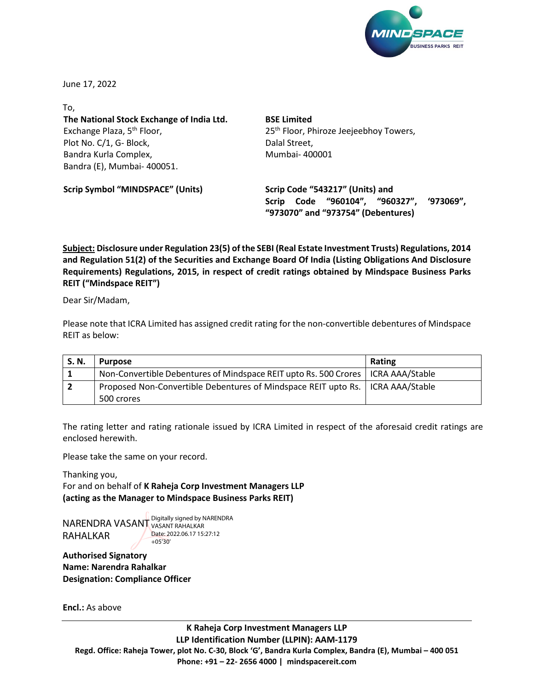

June 17, 2022

To, **The National Stock Exchange of India Ltd.** Exchange Plaza, 5<sup>th</sup> Floor, Plot No. C/1, G- Block, Bandra Kurla Complex, Bandra (E), Mumbai- 400051.

**BSE Limited** 25<sup>th</sup> Floor, Phiroze Jeejeebhoy Towers, Dalal Street, Mumbai- 400001

**Scrip Symbol "MINDSPACE" (Units)**

**Scrip Code "543217" (Units) and Scrip Code "960104", "960327", '973069", "973070" and "973754" (Debentures)**

**Subject: Disclosure under Regulation 23(5) of the SEBI (Real Estate Investment Trusts) Regulations, 2014 and Regulation 51(2) of the Securities and Exchange Board Of India (Listing Obligations And Disclosure Requirements) Regulations, 2015, in respect of credit ratings obtained by Mindspace Business Parks REIT ("Mindspace REIT")**

Dear Sir/Madam,

Please note that ICRA Limited has assigned credit rating for the non-convertible debentures of Mindspace REIT as below:

| S.N. | <b>Purpose</b>                                                                     | <b>Rating</b> |
|------|------------------------------------------------------------------------------------|---------------|
|      | Non-Convertible Debentures of Mindspace REIT upto Rs. 500 Crores   ICRA AAA/Stable |               |
| 2    | Proposed Non-Convertible Debentures of Mindspace REIT upto Rs.   ICRA AAA/Stable   |               |
|      | 500 crores                                                                         |               |

The rating letter and rating rationale issued by ICRA Limited in respect of the aforesaid credit ratings are enclosed herewith.

Please take the same on your record.

Thanking you, For and on behalf of **K Raheja Corp Investment Managers LLP (acting as the Manager to Mindspace Business Parks REIT)**

NARENDRA VASANT Digitally signed by NARENDRA RAHALKAR VASANT RAHALKAR Date: 2022.06.17 15:27:12 +05'30'

**Authorised Signatory Name: Narendra Rahalkar Designation: Compliance Officer**

**Encl.:** As above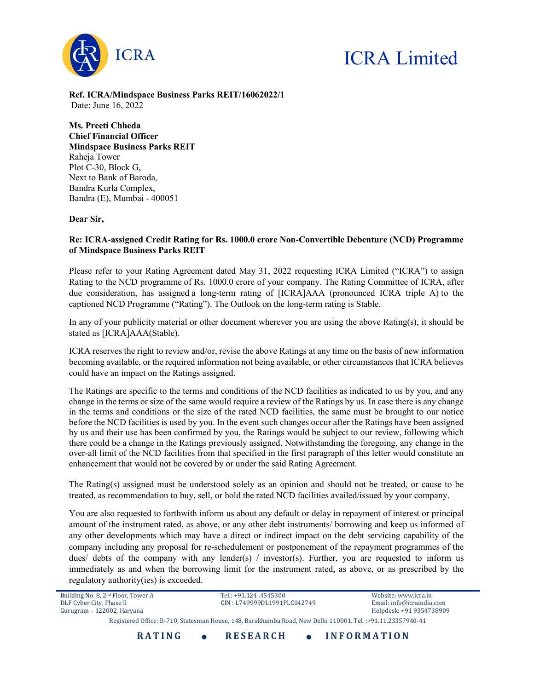

## ICRA Limited

Ref. ICRA/Mindspace Business Parks REIT/16062022/1 Date: June 16, 2022

Ms. Preeti Chheda Chief Financial Officer Mindspace Business Parks REIT Raheja Tower Plot C-30, Block G, Next to Bank of Baroda, Bandra Kurla Complex, Bandra (E), Mumbai - 400051

Dear Sir,

## Re: ICRA-assigned Credit Rating for Rs. 1000.0 crore Non-Convertible Debenture (NCD) Programme of Mindspace Business Parks REIT

Please refer to your Rating Agreement dated May 31, 2022 requesting ICRA Limited ("ICRA") to assign Rating to the NCD programme of Rs. 1000.0 crore of your company. The Rating Committee of ICRA, after due consideration, has assigned a long-term rating of [ICRA]AAA (pronounced ICRA triple A) to the captioned NCD Programme ("Rating"). The Outlook on the long-term rating is Stable.

In any of your publicity material or other document wherever you are using the above Rating(s), it should be stated as [ICRA]AAA(Stable).

ICRA reserves the right to review and/or, revise the above Ratings at any time on the basis of new information becoming available, or the required information not being available, or other circumstances that ICRA believes could have an impact on the Ratings assigned.

The Ratings are specific to the terms and conditions of the NCD facilities as indicated to us by you, and any change in the terms or size of the same would require a review of the Ratings by us. In case there is any change in the terms and conditions or the size of the rated NCD facilities, the same must be brought to our notice before the NCD facilities is used by you. In the event such changes occur after the Ratings have been assigned by us and their use has been confirmed by you, the Ratings would be subject to our review, following which there could be a change in the Ratings previously assigned. Notwithstanding the foregoing, any change in the over-all limit of the NCD facilities from that specified in the first paragraph of this letter would constitute an enhancement that would not be covered by or under the said Rating Agreement.

The Rating(s) assigned must be understood solely as an opinion and should not be treated, or cause to be treated, as recommendation to buy, sell, or hold the rated NCD facilities availed/issued by your company.

You are also requested to forthwith inform us about any default or delay in repayment of interest or principal amount of the instrument rated, as above, or any other debt instruments/ borrowing and keep us informed of any other developments which may have a direct or indirect impact on the debt servicing capability of the company including any proposal for re-schedulement or postponement of the repayment programmes of the dues/ debts of the company with any lender(s) / investor(s). Further, you are requested to inform us immediately as and when the borrowing limit for the instrument rated, as above, or as prescribed by the regulatory authority(ies) is exceeded.

| <b>RATING</b>                                                                                               | <b>RESEARCH</b>             | <b>INFORMATION</b>        |  |  |
|-------------------------------------------------------------------------------------------------------------|-----------------------------|---------------------------|--|--|
| Registered Office: B-710, Statesman House, 148, Barakhamba Road, New Delhi 110001. Tel.: +91.11.23357940-41 |                             |                           |  |  |
| Gurugram - 122002, Haryana                                                                                  |                             | Helpdesk: +91 9354738909  |  |  |
| DLF Cyber City, Phase II                                                                                    | CIN: L749999DL1991PLC042749 | Email: info@icraindia.com |  |  |
| Building No. 8, 2 <sup>nd</sup> Floor, Tower A                                                              | Tel.: +91.124 .4545300      | Website: www.icra.in      |  |  |
|                                                                                                             |                             |                           |  |  |